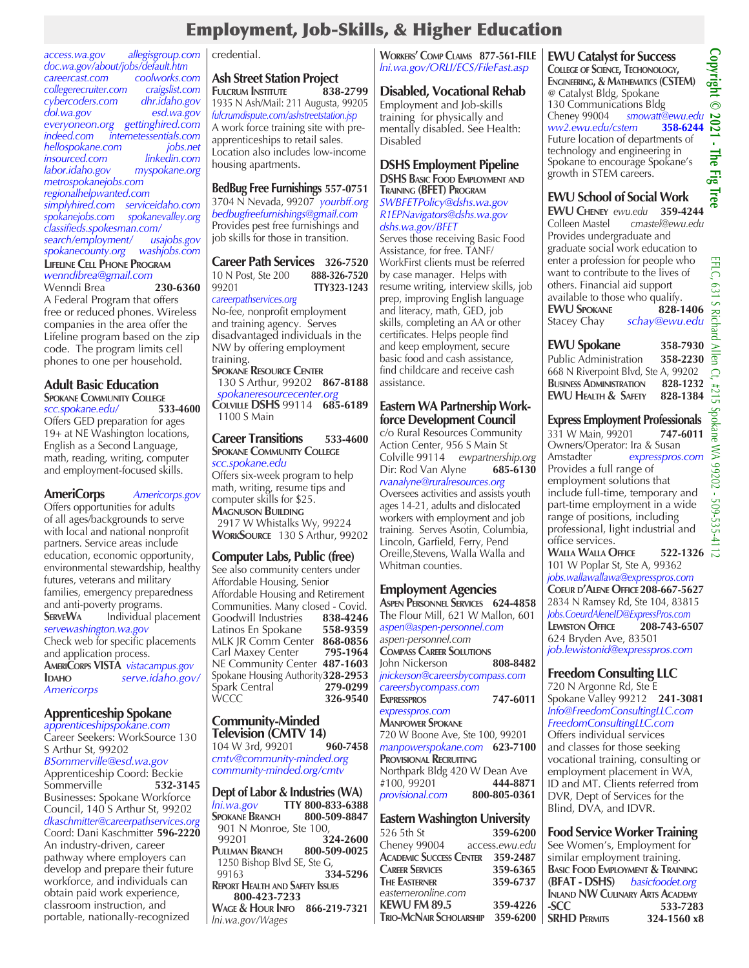## Employment, Job-Skills, & Higher Education

*access.wa.gov allegisgroup.com doc.wa.gov/about/jobs/default.htm careercast.com coolworks.com collegerecruiter.com craigslist.com cybercoders.com dhr.idaho.gov dol.wa.gov esd.wa.gov everyoneon.org gettinghired.com internetessentials.com*<br>*jobs.net hellospokane.com jobs.net insourced.com linkedin.com labor.idaho.gov myspokane.org metrospokanejobs.com regionalhelpwanted.com simplyhired.com serviceidaho.com spokanejobs.com spokanevalley.org classifieds.spokesman.com/ search/employment/ usajobs.gov spokanecounty.org washjobs.com* **Lifeline Cell Phone Program** *wenndibrea@gmail.com* Wenndi Brea **230-6360** A Federal Program that offers free or reduced phones. Wireless companies in the area offer the Lifeline program based on the zip code. The program limits cell phones to one per household.

### **Adult Basic Education**

**SPOKANE COMMUNITY COLLEGE**<br> *SCC.SDOKane.edu*/ 533-4600  $scc.spokane.edu/$ Offers GED preparation for ages 19+ at NE Washington locations, English as a Second Language, math, reading, writing, computer and employment-focused skills.

**AmeriCorps** *Americorps.gov*  Offers opportunities for adults of all ages/backgrounds to serve with local and national nonprofit partners. Service areas include education, economic opportunity, environmental stewardship, healthy futures, veterans and military families, emergency preparedness and anti-poverty programs.<br>**SERVEWA** lndividual pl **ServeWa** Individual placement *servewashington.wa.gov*  Check web for specific placements and application process. **AmeriCorps VISTA** *vistacampus.gov* **Idaho** *serve.idaho.gov/ Americorps*

### **Apprenticeship Spokane**

*apprenticeshipspokane.com* Career Seekers: WorkSource 130 S Arthur St, 99202 *BSommerville@esd.wa.gov* Apprenticeship Coord: Beckie<br>Sommerville 532-3145 Sommerville Businesses: Spokane Workforce Council, 140 S Arthur St, 99202 *dkaschmitter@careerpathservices.org* Coord: Dani Kaschmitter **596-2220** An industry-driven, career pathway where employers can develop and prepare their future workforce, and individuals can obtain paid work experience, classroom instruction, and portable, nationally-recognized

### credential.

**Ash Street Station Project FULCRUM INSTITUTE** 1935 N Ash/Mail: 211 Augusta, 99205 *fulcrumdispute.com/ashstreetstation.jsp* A work force training site with preapprenticeships to retail sales. Location also includes low-income housing apartments.

### **BedBug Free Furnishings 557-0751**

3704 N Nevada, 99207 *yourbff.org bedbugfreefurnishings@gmail.com* Provides pest free furnishings and job skills for those in transition.

**Career Path Services 326-7520** 10 N Post, Ste 200 **888-326-7520**  99201 **TTY323-1243** *careerpathservices.org*

No-fee, nonprofit employment and training agency. Serves disadvantaged individuals in the NW by offering employment training.

**Spokane Resource Center** 130 S Arthur, 99202 **867-8188**  *spokaneresourcecenter.org* **Colville DSHS** 99114 **685-6189** 1100 S Main

### **Career Transitions 533-4600 SPOKANE COMMUNITY COLLEGE**

*scc.spokane.edu* Offers six-week program to help math, writing, resume tips and computer skills for \$25. **Magnuson Building** 2917 W Whistalks Wy, 99224 **WorkSource** 130 S Arthur, 99202

### **Computer Labs, Public (free)**

See also community centers under Affordable Housing, Senior Affordable Housing and Retirement Communities. Many closed - Covid.<br>
Goodwill Industries 838-4246 **Goodwill Industries** Latinos En Spokane **558-9359** MLK JR Comm Center **868-0856 Carl Maxey Center** NE Community Center **487-1603** Spokane Housing Authority**328-2953**  $\frac{2}{3}$ Park Central WCCC **326-9540**

## **Community-Minded Television (CMTV 14)**<br>104 W 3rd, 99201 960-7458

104 W 3rd, 99201 *cmtv@community-minded.org community-minded.org/cmtv*

**Dept of Labor & Industries (WA)** *lni.wa.gov* **TTY 800-833-6388 SPOKANE BRANCH** 901 N Monroe, Ste 100,<br>99201 3 99201 **324-2600 Pullman Branch 800-509-0025**  1250 Bishop Blvd SE, Ste G, 99163 **334-5296 Report Health and Safety Issues 800-423-7233 Wage & Hour Info 866-219-7321** *lni.wa.gov/Wages*

### **Workers' Comp Claims 877-561-FILE** *lni.wa.gov/ORLI/ECS/FileFast.asp*

### **Disabled, Vocational Rehab**

Employment and Job-skills training for physically and mentally disabled. See Health: Disabled

### **DSHS Employment Pipeline**

**DSHS Basic Food Employment and Training (BFET) Program** *SWBFETPolicy@dshs.wa.gov R1EPNavigators@dshs.wa.gov dshs.wa.gov/BFET*

Serves those receiving Basic Food Assistance, for free. TANF/ WorkFirst clients must be referred by case manager. Helps with resume writing, interview skills, job prep, improving English language and literacy, math, GED, job skills, completing an AA or other certificates. Helps people find and keep employment, secure basic food and cash assistance, find childcare and receive cash assistance.

### **Eastern WA Partnership Workforce Development Council**

c/o Rural Resources Community Action Center, 956 S Main St Colville 99114 *ewpartnership.org* Dir: Rod Van Alyne *rvanalyne@ruralresources.org*  Oversees activities and assists youth ages 14-21, adults and dislocated workers with employment and job training.Serves Asotin, Columbia, Lincoln, Garfield, Ferry, Pend Oreille,Stevens, Walla Walla and Whitman counties.

### **Employment Agencies**

**Aspen Personnel Services 624-4858** The Flour Mill, 621 W Mallon, 601 *aspen@aspen-personnel.com aspen-personnel.com*  **Compass Career Solutions** John Nickerson **808-8482** *jnickerson@careersbycompass.com careersbycompass.com* **Expresspros 747-6011**  *expresspros.com* **Manpower Spokane** 720 W Boone Ave, Ste 100, 99201 *manpowerspokane.com* **623-7100 Provisional Recruiting** Northpark Bldg 420 W Dean Ave<br>#100, 99201 **444-8871** #100, 99201 **444-8871** *provisional.com* **800-805-0361**

### **Eastern Washington University**

| 526 5th St                              | 359-6200       |
|-----------------------------------------|----------------|
| Cheney 99004                            | access.ewu.edu |
| <b>ACADEMIC SUCCESS CENTER 359-2487</b> |                |
| <b>CAREER SERVICES</b>                  | 359-6365       |
| <b>THE EASTERNER</b>                    | 359-6737       |
| easterneronline.com                     |                |
| <b>KEWU FM 89.5</b>                     | 359-4226       |
| TRIO-MCNAIR SCHOLARSHIP 359-6200        |                |
|                                         |                |

**EWU Catalyst for Success College of Science, Techonology, Engineering, & Mathematics (CSTEM)** @ Catalyst Bldg, Spokane 130 Communications Bldg Cheney 99004 *smowatt@ewu.edu ww2.ewu.edu/cstem* **358-6244** Future location of departments of technology and engineering in Spokane to encourage Spokane's growth in STEM careers.

### **EWU School of Social Work**

**EWU CHENEY** *ewu.edu* 359-4244<br>
Colleen Mastel *cmastel@ewu.edu* Colleen Mastel *cmastel@ewu.edu* Provides undergraduate and graduate social work education to enter a profession for people who want to contribute to the lives of others. Financial aid support available to those who qualify. **EWU Spokane 828-1406** Stacey Chay *schay@ewu.edu*

### **EWU Spokane 358-7930**

Public Administration **358-2230** 668 N Riverpoint Blvd, Ste A, 99202 **Business Administration 828-1232 EWU Health & Safety 828-1384**

### **Express Employment Professionals**

331 W Main, 99201 **747-6011** Owners/Operator: Ira & Susan<br>Amstadter expresspros Amstadter *expresspros.com* Provides a full range of employment solutions that include full-time, temporary and part-time employment in a wide range of positions, including professional, light industrial and office services. **Walla Walla Office 522-1326**

101 W Poplar St, Ste A, 99362 *jobs.wallawallawa@expresspros.com* **Coeur d'Alene Office208-667-5627** 2834 N Ramsey Rd, Ste 104, 83815 *Jobs.CoeurdAleneID@ExpressPros.com* **LEWISTON OFFICE** 624 Bryden Ave, 83501 *job.lewistonid@expresspros.com*

### **Freedom Consulting LLC**

720 N Argonne Rd, Ste E Spokane Valley 99212 **241-3081** *Info@FreedomConsultingLLC.com FreedomConsultingLLC.com* Offers individual services and classes for those seeking vocational training, consulting or employment placement in WA, ID and MT. Clients referred from DVR, Dept of Services for the Blind, DVA, and IDVR.

| <b>Food Service Worker Training</b>         |             |
|---------------------------------------------|-------------|
| See Women's, Employment for                 |             |
| similar employment training.                |             |
| <b>BASIC FOOD EMPLOYMENT &amp; TRAINING</b> |             |
| (BFAT - DSHS) basicfoodet.org               |             |
| <b>INLAND NW CULINARY ARTS ACADEMY</b>      |             |
| -SCC                                        | 533-7283    |
| <b>SRHD PERMITS</b>                         | 324-1560 x8 |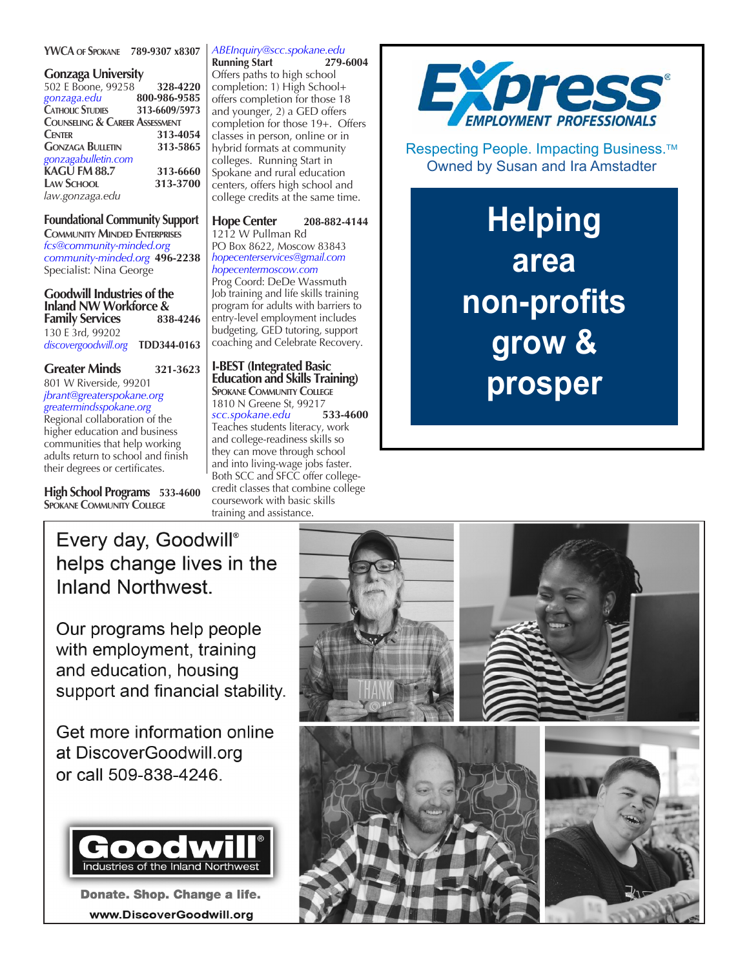### **YWCA of Spokane 789-9307 x8307**

### **Gonzaga University**

| 502 E Boone, 99258                        | 328-4220      |
|-------------------------------------------|---------------|
| gonzaga.edu                               | 800-986-9585  |
| <b>CATHOLIC STUDIES</b>                   | 313-6609/5973 |
| <b>COUNSELING &amp; CAREER ASSESSMENT</b> |               |
| <b>CENTER</b>                             | 313-4054      |
| <b>GONZAGA BULLETIN</b>                   | 313-5865      |
| gonzagabulletin.com                       |               |
| KAGU FM 88.7                              | 313-6660      |
| <b>LAW SCHOOL</b>                         | 313-3700      |
| law.gonzaga.edu                           |               |
|                                           |               |

### **Foundational Community Support**

**Community Minded Enterprises** *fcs@community-minded.org community-minded.org* **496-2238** Specialist: Nina George

**Goodwill Industries of the Inland NW Workforce & Family Services** 130 E 3rd, 99202 *discovergoodwill.org* **TDD344-0163**

### **Greater Minds 321-3623**

801 W Riverside, 99201 *jbrant@greaterspokane.org greatermindsspokane.org*

Regional collaboration of the higher education and business communities that help working adults return to school and finish their degrees or certificates.

**High School Programs 533-4600 SPOKANE COMMUNITY COLLEGE** 

## *ABEInquiry@scc.spokane.edu*

**Running Start** Offers paths to high school completion: 1) High School+ offers completion for those 18 and younger, 2) a GED offers completion for those 19+. Offers classes in person, online or in hybrid formats at community colleges. Running Start in Spokane and rural education centers, offers high school and college credits at the same time.

### **Hope Center 208-882-4144** 1212 W Pullman Rd

PO Box 8622, Moscow 83843 *hopecenterservices@gmail.com hopecentermoscow.com* Prog Coord: DeDe Wassmuth Job training and life skills training program for adults with barriers to entry-level employment includes budgeting, GED tutoring, support

coaching and Celebrate Recovery.

**I-BEST (Integrated Basic Education and Skills Training) SPOKANE COMMUNITY COLLEGE** 1810 N Greene St, 99217<br>scc.spokane.edu 533-4600  $scc$ .spokane.edu Teaches students literacy, work and college-readiness skills so they can move through school and into living-wage jobs faster. Both SCC and SFCC offer collegecredit classes that combine college coursework with basic skills training and assistance.



Respecting People. Impacting Business.<sup>™</sup> Owned by Susan and Ira Amstadter

# **Helping area non-profits grow & prosper**



Our programs help people with employment, training and education, housing support and financial stability.

Get more information online at DiscoverGoodwill.org or call 509-838-4246.



Donate. Shop. Change a life. www.DiscoverGoodwill.org

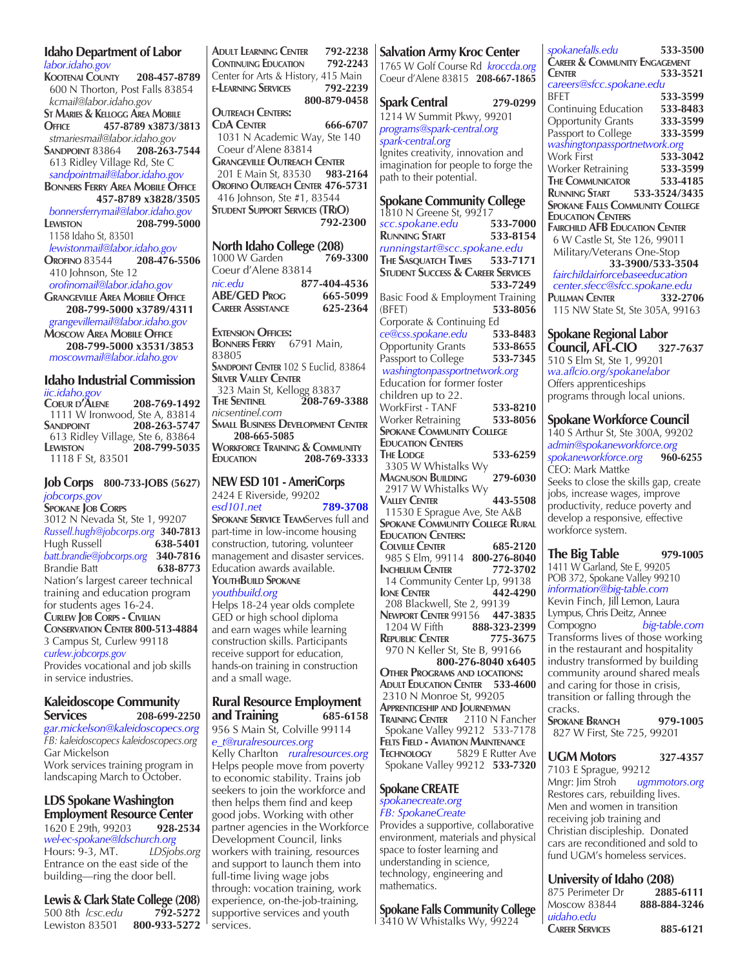| <b>Idaho Department of Labor</b>                              |  |  |
|---------------------------------------------------------------|--|--|
| labor.idaho.gov                                               |  |  |
| KOOTENAI COUNTY 208-457-8789                                  |  |  |
| 600 N Thorton, Post Falls 83854                               |  |  |
| kcmail@labor.idaho.gov                                        |  |  |
| <b>ST MARIES &amp; KELLOGG AREA MOBILE</b>                    |  |  |
| 457-8789 x3873/3813<br>OFFICE                                 |  |  |
|                                                               |  |  |
| stmariesmail@labor.idaho.gov                                  |  |  |
| SANDPOINT 83864<br>208-263-7544                               |  |  |
| 613 Ridley Village Rd, Ste C                                  |  |  |
| sandpointmail@labor.idaho.gov                                 |  |  |
| <b>BONNERS FERRY AREA MOBILE OFFICE</b>                       |  |  |
| 457-8789 x3828/3505                                           |  |  |
| bonnersferrymail@labor.idaho.gov                              |  |  |
| 208-799-5000<br>LEWISTON                                      |  |  |
| 1158 Idaho St, 83501                                          |  |  |
|                                                               |  |  |
| lewistonmail@labor.idaho.gov                                  |  |  |
| OROFINO 83544<br>208-476-5506                                 |  |  |
| 410 Johnson, Ste 12                                           |  |  |
| orofinomail@labor.idaho.gov                                   |  |  |
| <b>GRANGEVILLE AREA MOBILE OFFICE</b>                         |  |  |
| 208-799-5000 x3789/4311                                       |  |  |
| grangevillemail@labor.idaho.gov                               |  |  |
| <b>MOSCOW AREA MOBILE OFFICE</b>                              |  |  |
| 208-799-5000 x3531/3853                                       |  |  |
| moscowmail@labor.idaho.gov                                    |  |  |
|                                                               |  |  |
| <b>Idaho Industrial Commission</b>                            |  |  |
| iic.idaho.gov                                                 |  |  |
| COEUR D'ALENE<br>208-769-1492                                 |  |  |
| 1111 W Ironwood, Ste A, 83814                                 |  |  |
| 208-263-5747<br>SANDPOINT                                     |  |  |
| $613$ Ridley Village, Ste 6, 83864                            |  |  |
| 208-799-5035<br>LEWISTON                                      |  |  |
| 1118 F St, 83501                                              |  |  |
|                                                               |  |  |
| Job Corps 800-733-JOBS (5627)                                 |  |  |
|                                                               |  |  |
| jobcorps.gov                                                  |  |  |
| <b>SPOKANE JOB CORPS</b>                                      |  |  |
| 3012 N Nevada St, Ste 1, 99207                                |  |  |
| Russell.hugh@jobcorps.org 340-7813                            |  |  |
| Hugh Russell<br>638-5401                                      |  |  |
|                                                               |  |  |
| <b>Brandie Batt</b><br>638-8773                               |  |  |
| Nation's largest career technical                             |  |  |
| training and education program                                |  |  |
|                                                               |  |  |
| for students ages 16-24.                                      |  |  |
|                                                               |  |  |
| <b>CURLEW JOB CORPS - CIVILIAN</b>                            |  |  |
| CONSERVATION CENTER 800-513-4884<br>3 Campus St, Curlew 99118 |  |  |

*curlew.jobcorps.gov* Provides vocational and job skills in service industries.

### **Kaleidoscope Community Services 208-699-2250**

*gar.mickelson@kaleidoscopecs.org FB: kaleidoscopecs kaleidoscopecs.org* Gar Mickelson Work services training program in landscaping March to October.

### **LDS Spokane Washington Employment Resource Center**

1620 E 29th, 99203 **928-2534** *wel-ec-spokane@ldschurch.org* Hours: 9-3, MT. *LDSjobs.org*  Entrance on the east side of the building—ring the door bell.

**Lewis & Clark State College (208)**<br>500 8th *Icsc.edu* 792-5272 500 8th *lcsc.edu* Lewiston 83501 **800-933-5272** **Adult Learning Center 792-2238 Continuing Education 792-2243** Center for Arts & History, 415 Main<br>E-LEARNING SERVICES 792-2239 **E-LEARNING SERVICES 800-879-0458 Outreach Centers: CdA Center 666-6707** 1031 N Academic Way, Ste 140 Coeur d'Alene 83814 **Grangeville Outreach Center** 201 E Main St, 83530 **983-2164 Orofino Outreach Center 476-5731** 416 Johnson, Ste #1, 83544 **Student Support Services (TRiO)792-2300**

### **North Idaho College (208)**<br>1000 W Garden 769-3300 1000 W Garden Coeur d'Alene 83814 *nic.edu* **877-404-4536 ABE/GED Prog 665-5099 Career Assistance 625-2364**

**Extension Offices: Bonners Ferry** 6791 Main, 83805 **SANDPOINT CENTER** 102 S Euclid, 83864 **Silver Valley Center** 323 Main St, Kellogg 83837<br>THE SENTINEL 208-769 **The Sentinel 208-769-3388** *nicsentinel.com* **Small Business Development Center 208-665-5085 Workforce Training & Community Education 208-769-3333**

**NEW ESD 101 - AmeriCorps** 2424 E Riverside, 99202 *esd101.net* **789-3708 Spokane Service Team**Serves full and part-time in low-income housing construction, tutoring, volunteer

management and disaster services. Education awards available. **YouthBuild Spokane** *youthbuild.org* 

Helps 18-24 year olds complete GED or high school diploma and earn wages while learning construction skills. Participants receive support for education, hands-on training in construction and a small wage.

### **Rural Resource Employment and Training 685-6158**

956 S Main St, Colville 99114 *e\_t@ruralresources.org* Kelly Charlton *ruralresources.org* Helps people move from poverty to economic stability. Trains job seekers to join the workforce and then helps them find and keep good jobs. Working with other partner agencies in the Workforce Development Council, links workers with training, resources and support to launch them into full-time living wage jobs through: vocation training, work experience, on-the-job-training, supportive services and youth services.

**Salvation Army Kroc Center** 1765 W Golf Course Rd *kroccda.org* Coeur d'Alene 83815 **208-667-1865 Spark Central 279-0299** 1214 W Summit Pkwy, 99201 *programs@spark-central.org spark-central.org* Ignites creativity, innovation and imagination for people to forge the path to their potential. **Spokane Community College** 1810 N Greene St, 99217<br>scc.spokane.edu 533-7000 *scc.spokane.edu* **533-7000 RUNNING START** *runningstart@scc.spokane.edu* **The Sasquatch Times 533-7171 Student Success & Career Services 533-7249** Basic Food & Employment Training (BFET) **533-8056** Corporate & Continuing Ed *ce@css.spokane.edu* **533-8483** Opportunity Grants **533-8655** Passport to College **533-7345**  *washingtonpassportnetwork.org* Education for former foster children up to 22. WorkFirst - TANF **533-8210** Worker Retraining **533-8056 SPOKANE COMMUNITY COLLEGE Education Centers The Lodge 533-6259** 3305 W Whistalks Wy **Magnuson Building 279-6030** 2917 W Whistalks Wy **Valley Center 443-5508** 11530 E Sprague Ave, Ste A&B **SPOKANE COMMUNITY COLLEGE RURAL Education Centers: Colville Center 685-2120** 985 S Elm, 99114 **800-276-8040 INCHELIUM CENTER**  14 Community Center Lp, 99138 **Ione Center 442-4290** 208 Blackwell, Ste 2, 99139 **Newport Center** 99156 **447-3835**<br>1204 W Fifth **888-323-2399**  1204 W Fifth **888-323-2399 REPUBLIC CENTER**  970 N Keller St, Ste B, 99166 **800-276-8040 x6405 Other Programs and locations: Adult Education Center 533-4600** 2310 N Monroe St, 99205 **Apprenticeship and Journeyman Training Center** 2110 N Fancher Spokane Valley 99212 533-7178 **Felts Field - Aviation Maintenance Technology** 5829 E Rutter Ave Spokane Valley 99212 **533-7320**

### **Spokane CREATE**  *spokanecreate.org*

### *FB: SpokaneCreate* Provides a supportive, collaborative environment, materials and physical space to foster learning and understanding in science, technology, engineering and mathematics.

# **Spokane Falls Community College** 3410 W Whistalks Wy, 99224

*spokanefalls.edu* **533-3500 Career & Community Engagement Center 533-3521** *careers@sfcc.spokane.edu* BFET **533-3599** Continuing Education **533-8483** Opportunity Grants **333-3599** Passport to College **333-3599** *washingtonpassportnetwork.org* Work First **533-3042** Worker Retraining **533-3599 The Communicator 533-4185 Running Start 533-3524/3435 Spokane Falls Community College Education Centers Fairchild AFB Education Center** 6 W Castle St, Ste 126, 99011 Military/Veterans One-Stop  **33-3900/533-3504**  *fairchildairforcebaseeducation center.sfecc@sfcc.spokane.edu* **Pullman Center 332-2706** 115 NW State St, Ste 305A, 99163 **Spokane Regional Labor** 

**Council, AFL-CIO 327-7637** 510 S Elm St, Ste 1, 99201 *wa.aflcio.org/spokanelabor* Offers apprenticeships programs through local unions.

## **Spokane Workforce Council**

140 S Arthur St, Ste 300A, 99202 *admin@spokaneworkforce.org spokaneworkforce.org* **960-6255** CEO: Mark Mattke Seeks to close the skills gap, create jobs, increase wages, improve productivity, reduce poverty and develop a responsive, effective workforce system.

**The Big Table 979-1005** 1411 W Garland, Ste E, 99205 POB 372, Spokane Valley 99210 *information@big-table.com* Kevin Finch, Jill Lemon, Laura Lympus, Chris Deitz, Annee Compogno *big-table.com* Transforms lives of those working in the restaurant and hospitality industry transformed by building community around shared meals and caring for those in crisis, transition or falling through the cracks. **Spokane Branch 979-1005**

827 W First, Ste 725, 99201

### **UGM Motors 327-4357**

7103 E Sprague, 99212 Mngr: Jim Stroh *ugmmotors.org* Restores cars, rebuilding lives. Men and women in transition receiving job training and Christian discipleship. Donated cars are reconditioned and sold to fund UGM's homeless services.

**University of Idaho (208)**<br>875 Perimeter Dr. 2885-6111 875 Perimeter Dr<br>Moscow 83844 Moscow 83844 **888-884-3246** *uidaho.edu* **Career Services 885-6121**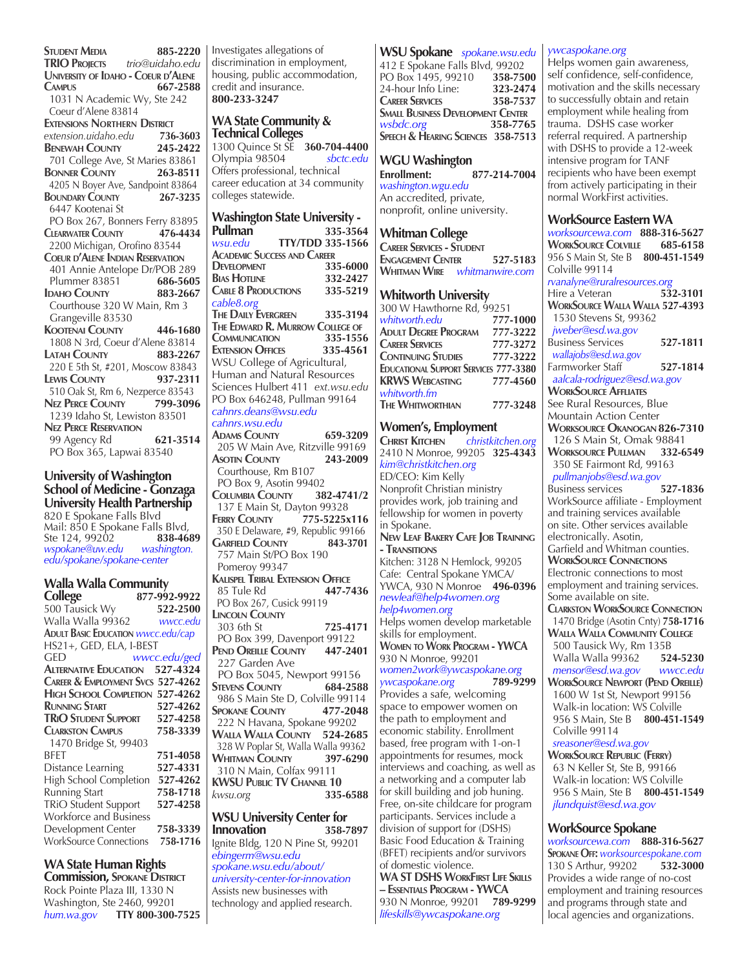**Student Media 885-2220 TRIO Projects** *trio@uidaho.edu* **University of Idaho - Coeur d'Alene Campus 667-2588** 1031 N Academic Wy, Ste 242 Coeur d'Alene 83814 **EXTENSIONS NORTHERN DISTRICT**<br>extension.uidaho.edu 736-3603  $extension.uidaho.edu$ **Benewah County 245-2422** 701 College Ave, St Maries 83861 **Bonner County 263-8511** 4205 N Boyer Ave, Sandpoint 83864 **Boundary County 267-3235** 6447 Kootenai St PO Box 267, Bonners Ferry 83895<br>CLEARWATER COUNTY 476-4434 **Clearwater County 476-4434** 2200 Michigan, Orofino 83544 **Coeur d'Alene Indian Reservation** 401 Annie Antelope Dr/POB 289<br>Plummer 83851 686-5605 Plummer 83851 **686-5605 IDAHO COUNTY 883-2667**  Courthouse 320 W Main, Rm 3 Grangeville 83530 **Kootenai County 446-1680** 1808 N 3rd, Coeur d'Alene 83814 **Latah County 883-2267** 220 E 5th St, #201, Moscow 83843 **Lewis County 937-2311** 510 Oak St, Rm 6, Nezperce 83543<br>**NEZ PERCE COUNTY** 799-3096 **NEZ PERCE COUNTY**  1239 Idaho St, Lewiston 83501 **Nez Perce Reservation** 99 Agency Rd **621-3514** PO Box 365, Lapwai 83540

**University of Washington School of Medicine - Gonzaga University Health Partnership** 820 E Spokane Falls Blvd Mail: 850 E Spokane Falls Blvd,<br>Ste 124, 99202 **838-4689** Ste 124, 99202 **838-468**<br>wspokane@uw.edu washington. *wspokane@uw.edu edu/spokane/spokane-center*

### **Walla Walla Community**

| College                                      | 877-992-9922 |  |
|----------------------------------------------|--------------|--|
| 500 Tausick Wy                               | 522-2500     |  |
| Walla Walla 99362                            | wwcc.edu     |  |
| <b>ADULT BASIC EDUCATION WWCC.edu/cap</b>    |              |  |
| HS21+, GED, ELA, I-BEST                      |              |  |
| ged                                          | wwcc.edu/ged |  |
| <b>ALTERNATIVE EDUCATION</b>                 | 527-4324     |  |
| <b>CAREER &amp; EMPLOYMENT SVCS 527-4262</b> |              |  |
| HIGH SCHOOL COMPLETION 527-4262              |              |  |
| <b>RUNNING START</b>                         | 527-4262     |  |
| <b>TRIO STUDENT SUPPORT</b>                  | 527-4258     |  |
| <b>CLARKSTON CAMPUS</b>                      | 758-3339     |  |
| 1470 Bridge St, 99403                        |              |  |
| <b>BFFT</b>                                  | 751-4058     |  |
| Distance Learning                            | 527-4331     |  |
| High School Completion                       | 527-4262     |  |
| Running Start                                | 758-1718     |  |
| <b>TRiO Student Support</b>                  | 527-4258     |  |
| <b>Workforce and Business</b>                |              |  |
| Development Center                           | 758-3339     |  |
| <b>WorkSource Connections</b>                | 758-1716     |  |

**WA State Human Rights** 

**Commission, Spokane District** Rock Pointe Plaza III, 1330 N Washington, Ste 2460, 99201 *hum.wa.gov* **TTY 800-300-7525** Investigates allegations of discrimination in employment, housing, public accommodation, credit and insurance. **800-233-3247**

### **WA State Community & Technical Colleges**

1300 Quince St SE **360-704-4400** Olympia 98504 *sbctc.edu* Offers professional, technical career education at 34 community colleges statewide.

### **Washington State University -**

**Pullman 335-3564**<br>
<u>*Wsu.edu* **TTY/TDD** 335-1566</u> *wsu.edu* **TTY/TDD 335-1566 Academic Success and Career DEVELOPMENT 335-6000**<br>**BIAS HOTHINE 332-2427 BIAS HOTLINE 332-2427**<br>**CABLE 8 PRODUCTIONS 335-5219 CABLE 8 PRODUCTIONS** *cable8.org* **The Daily Evergreen 335-3194 The Edward R. Murrow College of COMMUNICATION Extension Offices 335-4561** WSU College of Agricultural, Human and Natural Resources Sciences Hulbert 411 *ext.wsu.edu* PO Box 646248, Pullman 99164 *cahnrs.deans@wsu.edu cahnrs.wsu.edu* **Adams County 659-3209** 205 W Main Ave, Ritzville 99169 **Asotin County 243-2009** Courthouse, Rm B107 PO Box 9, Asotin 99402 **Columbia County 382-4741/2** 137 E Main St, Dayton 99328 **Ferry County 775-5225x116 350 E Delaware, #9, Republic 99166**<br>**GARFIELD COUNTY 843-3701 GARFIELD COUNTY**  757 Main St/PO Box 190 Pomeroy 99347 **Kalispel Tribal Extension Office** 85 Tule Rd PO Box 267, Cusick 99119 **Lincoln County** 303 6th St **725-4171** PO Box 399, Davenport 99122 **Pend Oreille County 447-2401** 227 Garden Ave PO Box 5045, Newport 99156<br>
FIEVENS COUNTY 684-2588 **STEVENS COUNTY** 986 S Main Ste D, Colville 99114<br>
POKANE COUNTY 477-2048 **SPOKANE COUNTY**  222 N Havana, Spokane 99202 **Walla Walla County 524-2685** 328 W Poplar St, Walla Walla 99362 **WHITMAN COUNTY**  310 N Main, Colfax 99111 **KWSU Public TV Channel 10** *kwsu.org* **335-6588 WSU University Center for Innovation 358-7897** Ignite Bldg, 120 N Pine St, 99201

*ebingerm@wsu.edu spokane.wsu.edu/about/ university-center-for-innovation* Assists new businesses with technology and applied research.

### **WSU Spokane** *spokane.wsu.edu* 412 E Spokane Falls Blvd, 99202<br>PO Box 1495, 99210 358-7500 PO Box 1495, 99210 **358-7500** 24-hour Info Line: **323-2474 CAREER SERVICES**

**Small Business Development Center** *wsbdc.org* **358-7765 Speech & Hearing Sciences 358-7513**

### **WGU Washington**

**Enrollment: 877-214-7004** *washington.wgu.edu* An accredited, private, nonprofit, online university.

### **Whitman College**

**Career Services - Student Engagement Center 527-5183 Whitman Wire** *whitmanwire.com*

### **Whitworth University**

| 300 W Hawthorne Rd, 99251                    |          |
|----------------------------------------------|----------|
| whitworth.edu                                | 777-1000 |
| Adult Degree Program                         | 777-3222 |
| <b>CAREER SERVICES</b>                       | 777-3272 |
| <b>CONTINUING STUDIES</b>                    | 777-3222 |
| <b>EDUCATIONAL SUPPORT SERVICES 777-3380</b> |          |
| <b>KRWS WEBCASTING</b>                       | 777-4560 |
| whitworth.fm                                 |          |
| <b>THE WHITWORTHIAN</b>                      | 777-3248 |

### **Women's, Employment**

**Christ Kitchen** *christkitchen.org* 2410 N Monroe, 99205 **325-4343**  *kim@christkitchen.org*  ED/CEO: Kim Kelly Nonprofit Christian ministry provides work, job training and fellowship for women in poverty in Spokane.

**New Leaf Bakery Cafe Job Training - Transitions**

Kitchen: 3128 N Hemlock, 99205 Cafe: Central Spokane YMCA/ YWCA, 930 N Monroe **496-0396** *newleaf@help4women.org help4women.org*

Helps women develop marketable skills for employment. **Women to Work Program - YWCA**

930 N Monroe, 99201 *women2work@ywcaspokane.org ywcaspokane.org* **789-9299** Provides a safe, welcoming space to empower women on the path to employment and economic stability. Enrollment based, free program with 1-on-1 appointments for resumes, mock interviews and coaching, as well as a networking and a computer lab for skill building and job huning. Free, on-site childcare for program participants. Services include a division of support for (DSHS) Basic Food Education & Training (BFET) recipients and/or survivors of domestic violence.

**WA ST DSHS WorkFirst Life Skills – Essentials Program - YWCA** 930 N Monroe, 99201 **789-9299** *lifeskills@ywcaspokane.org* 

### *ywcaspokane.org*

Helps women gain awareness, self confidence, self-confidence, motivation and the skills necessary to successfully obtain and retain employment while healing from trauma. DSHS case worker referral required. A partnership with DSHS to provide a 12-week intensive program for TANF recipients who have been exempt from actively participating in their normal WorkFirst activities.

### **WorkSource Eastern WA**

*worksourcewa.com* **888-316-5627 WorkSource Colville 685-6158** 956 S Main St, Ste B **800-451-1549** Colville 99114 *rvanalyne@ruralresources.org*  Hire a Veteran **532-3101 WorkSource Walla Walla 527-4393** 1530 Stevens St, 99362  *jweber@esd.wa.gov* Business Services **527-1811**  *wallajobs@esd.wa.gov*  Farmworker Staff **527-1814**  *aalcala-rodriguez@esd.wa.gov* **WorkSource Affliates** See Rural Resources, Blue Mountain Action Center **Worksource Okanogan 826-7310** 126 S Main St, Omak 98841 **Worksource Pullman 332-6549** 350 SE Fairmont Rd, 99163  *pullmanjobs@esd.wa.gov* Business services **527-1836** WorkSource affiliate - Employment and training services available on site. Other services available electronically. Asotin, Garfield and Whitman counties. **WorkSource Connections** Electronic connections to most employment and training services. Some available on site. **Clarkston WorkSource Connection** 1470 Bridge (Asotin Cnty) **758-1716 Walla Walla Community College** 500 Tausick Wy, Rm 135B Walla Walla 99362 **524-5230**  *mensor@esd.wa.gov wwcc.edu* **WorkSource Newport (Pend Oreille)** 1600 W 1st St, Newport 99156 Walk-in location: WS Colville 956 S Main, Ste B **800-451-1549** Colville 99114  *sreasoner@esd.wa.gov* **WorkSource Republic (Ferry)**

 63 N Keller St, Ste B, 99166 Walk-in location: WS Colville 956 S Main, Ste B **800-451-1549**  *jlundquist@esd.wa.gov*

### **WorkSource Spokane**

*worksourcewa.com* **888-316-5627 Spokane Off:** *worksourcespokane.com* 130 S Arthur, 99202 **532-3000** Provides a wide range of no-cost employment and training resources and programs through state and local agencies and organizations.